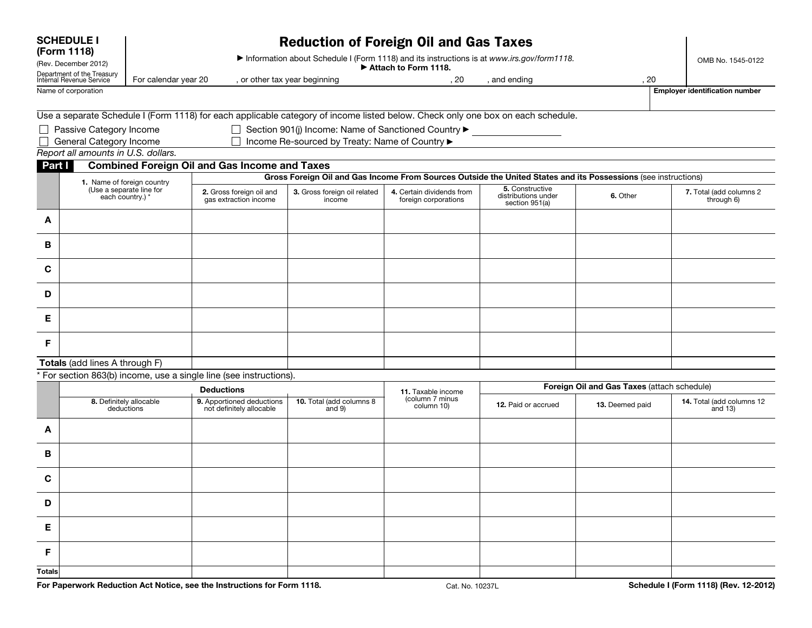| <b>SCHEDULE I</b><br>(Form 1118)<br>(Rev. December 2012) |                                              | <b>Reduction of Foreign Oil and Gas Taxes</b><br>Information about Schedule I (Form 1118) and its instructions is at www.irs.gov/form1118.<br>Attach to Form 1118. |                                                                                                                                 |                                                                         |                                                     |                                                          |                 | OMB No. 1545-0122                       |                                                        |
|----------------------------------------------------------|----------------------------------------------|--------------------------------------------------------------------------------------------------------------------------------------------------------------------|---------------------------------------------------------------------------------------------------------------------------------|-------------------------------------------------------------------------|-----------------------------------------------------|----------------------------------------------------------|-----------------|-----------------------------------------|--------------------------------------------------------|
|                                                          |                                              |                                                                                                                                                                    |                                                                                                                                 |                                                                         |                                                     |                                                          |                 |                                         | Department of the Treasury<br>Internal Revenue Service |
| Name of corporation                                      |                                              |                                                                                                                                                                    |                                                                                                                                 |                                                                         |                                                     |                                                          |                 | <b>Employer identification number</b>   |                                                        |
|                                                          |                                              |                                                                                                                                                                    | Use a separate Schedule I (Form 1118) for each applicable category of income listed below. Check only one box on each schedule. |                                                                         |                                                     |                                                          |                 |                                         |                                                        |
|                                                          | □ Passive Category Income                    |                                                                                                                                                                    |                                                                                                                                 | Section 901(j) Income: Name of Sanctioned Country $\blacktriangleright$ |                                                     |                                                          |                 |                                         |                                                        |
|                                                          | General Category Income                      |                                                                                                                                                                    |                                                                                                                                 | □ Income Re-sourced by Treaty: Name of Country ▶                        |                                                     |                                                          |                 |                                         |                                                        |
|                                                          | Report all amounts in U.S. dollars.          |                                                                                                                                                                    |                                                                                                                                 |                                                                         |                                                     |                                                          |                 |                                         |                                                        |
| Part I                                                   |                                              |                                                                                                                                                                    | <b>Combined Foreign Oil and Gas Income and Taxes</b>                                                                            |                                                                         |                                                     |                                                          |                 |                                         |                                                        |
|                                                          |                                              | 1. Name of foreign country                                                                                                                                         | Gross Foreign Oil and Gas Income From Sources Outside the United States and its Possessions (see instructions)                  |                                                                         |                                                     |                                                          |                 |                                         |                                                        |
|                                                          | (Use a separate line for<br>each country.) * |                                                                                                                                                                    | 2. Gross foreign oil and<br>gas extraction income                                                                               | 3. Gross foreign oil related<br>income                                  | 4. Certain dividends from<br>foreign corporations   | 5. Constructive<br>distributions under<br>section 951(a) | 6. Other        | 7. Total (add columns 2<br>through 6)   |                                                        |
| A                                                        |                                              |                                                                                                                                                                    |                                                                                                                                 |                                                                         |                                                     |                                                          |                 |                                         |                                                        |
| В                                                        |                                              |                                                                                                                                                                    |                                                                                                                                 |                                                                         |                                                     |                                                          |                 |                                         |                                                        |
| C                                                        |                                              |                                                                                                                                                                    |                                                                                                                                 |                                                                         |                                                     |                                                          |                 |                                         |                                                        |
| D                                                        |                                              |                                                                                                                                                                    |                                                                                                                                 |                                                                         |                                                     |                                                          |                 |                                         |                                                        |
| Е                                                        |                                              |                                                                                                                                                                    |                                                                                                                                 |                                                                         |                                                     |                                                          |                 |                                         |                                                        |
| F.                                                       |                                              |                                                                                                                                                                    |                                                                                                                                 |                                                                         |                                                     |                                                          |                 |                                         |                                                        |
|                                                          | Totals (add lines A through F)               |                                                                                                                                                                    |                                                                                                                                 |                                                                         |                                                     |                                                          |                 |                                         |                                                        |
|                                                          |                                              |                                                                                                                                                                    | * For section 863(b) income, use a single line (see instructions).                                                              |                                                                         |                                                     |                                                          |                 |                                         |                                                        |
|                                                          |                                              |                                                                                                                                                                    | <b>Deductions</b>                                                                                                               |                                                                         |                                                     | Foreign Oil and Gas Taxes (attach schedule)              |                 |                                         |                                                        |
|                                                          |                                              | 8. Definitely allocable<br>deductions                                                                                                                              | 9. Apportioned deductions<br>not definitely allocable                                                                           | 10. Total (add columns 8<br>and $9)$                                    | 11. Taxable income<br>(column 7 minus<br>column 10) | 12. Paid or accrued                                      | 13. Deemed paid | 14. Total (add columns 12<br>and $13$ ) |                                                        |
| A                                                        |                                              |                                                                                                                                                                    |                                                                                                                                 |                                                                         |                                                     |                                                          |                 |                                         |                                                        |
| В                                                        |                                              |                                                                                                                                                                    |                                                                                                                                 |                                                                         |                                                     |                                                          |                 |                                         |                                                        |
| C                                                        |                                              |                                                                                                                                                                    |                                                                                                                                 |                                                                         |                                                     |                                                          |                 |                                         |                                                        |
| D                                                        |                                              |                                                                                                                                                                    |                                                                                                                                 |                                                                         |                                                     |                                                          |                 |                                         |                                                        |
| Е.                                                       |                                              |                                                                                                                                                                    |                                                                                                                                 |                                                                         |                                                     |                                                          |                 |                                         |                                                        |
| F.                                                       |                                              |                                                                                                                                                                    |                                                                                                                                 |                                                                         |                                                     |                                                          |                 |                                         |                                                        |
|                                                          |                                              |                                                                                                                                                                    |                                                                                                                                 |                                                                         |                                                     |                                                          |                 |                                         |                                                        |
| <b>Totals</b>                                            |                                              |                                                                                                                                                                    | For Paperwork Reduction Act Notice, see the Instructions for Form 1118.                                                         |                                                                         |                                                     |                                                          |                 | Schedule I (Form 1118) (Rev. 12-2012)   |                                                        |
|                                                          |                                              |                                                                                                                                                                    |                                                                                                                                 |                                                                         | Cat. No. 10237L                                     |                                                          |                 |                                         |                                                        |